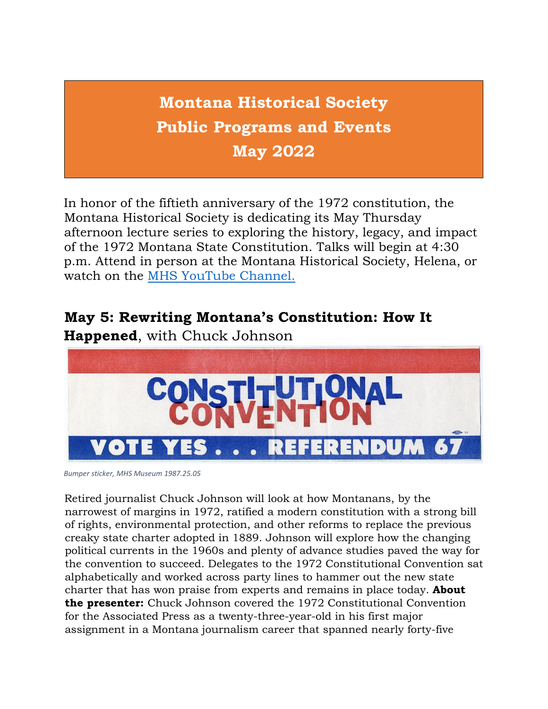**Montana Historical Society Public Programs and Events May 2022**

In honor of the fiftieth anniversary of the 1972 constitution, the Montana Historical Society is dedicating its May Thursday afternoon lecture series to exploring the history, legacy, and impact of the 1972 Montana State Constitution. Talks will begin at 4:30 p.m. Attend in person at the Montana Historical Society, Helena, or watch on the [MHS YouTube Channel.](https://www.youtube.com/c/MontanaHistoricalSociety?utm_medium=email&utm_source=govdelivery) 

#### **May 5: Rewriting Montana's Constitution: How It**



**Happened**, with Chuck Johnson

*Bumper sticker, MHS Museum 1987.25.05*

Retired journalist Chuck Johnson will look at how Montanans, by the narrowest of margins in 1972, ratified a modern constitution with a strong bill of rights, environmental protection, and other reforms to replace the previous creaky state charter adopted in 1889. Johnson will explore how the changing political currents in the 1960s and plenty of advance studies paved the way for the convention to succeed. Delegates to the 1972 Constitutional Convention sat alphabetically and worked across party lines to hammer out the new state charter that has won praise from experts and remains in place today. **About the presenter:** Chuck Johnson covered the 1972 Constitutional Convention for the Associated Press as a twenty-three-year-old in his first major assignment in a Montana journalism career that spanned nearly forty-five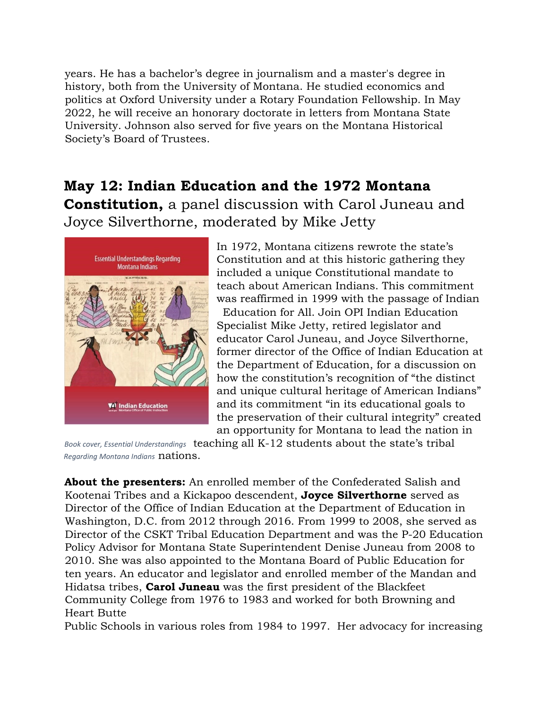years. He has a bachelor's degree in journalism and a master's degree in history, both from the University of Montana. He studied economics and politics at Oxford University under a Rotary Foundation Fellowship. In May 2022, he will receive an honorary doctorate in letters from Montana State University. Johnson also served for five years on the Montana Historical Society's Board of Trustees.

### **May 12: Indian Education and the 1972 Montana Constitution,** a panel discussion with Carol Juneau and

Joyce Silverthorne, moderated by Mike Jetty



In 1972, Montana citizens rewrote the state's Constitution and at this historic gathering they included a unique Constitutional mandate to teach about American Indians. This commitment was reaffirmed in 1999 with the passage of Indian Education for All. Join OPI Indian Education Specialist Mike Jetty, retired legislator and educator Carol Juneau, and Joyce Silverthorne, former director of the Office of Indian Education at the Department of Education, for a discussion on how the constitution's recognition of "the distinct and unique cultural heritage of American Indians" and its commitment "in its educational goals to the preservation of their cultural integrity" created an opportunity for Montana to lead the nation in

*Book cover, Essential Understandings* teaching all K-12 students about the state's tribal *Regarding Montana Indians* nations.

**About the presenters:** An enrolled member of the Confederated Salish and Kootenai Tribes and a Kickapoo descendent, **Joyce Silverthorne** served as Director of the Office of Indian Education at the Department of Education in Washington, D.C. from 2012 through 2016. From 1999 to 2008, she served as Director of the CSKT Tribal Education Department and was the P-20 Education Policy Advisor for Montana State Superintendent Denise Juneau from 2008 to 2010. She was also appointed to the Montana Board of Public Education for ten years. An educator and legislator and enrolled member of the Mandan and Hidatsa tribes, **Carol Juneau** was the first president of the Blackfeet Community College from 1976 to 1983 and worked for both Browning and Heart Butte

Public Schools in various roles from 1984 to 1997. Her advocacy for increasing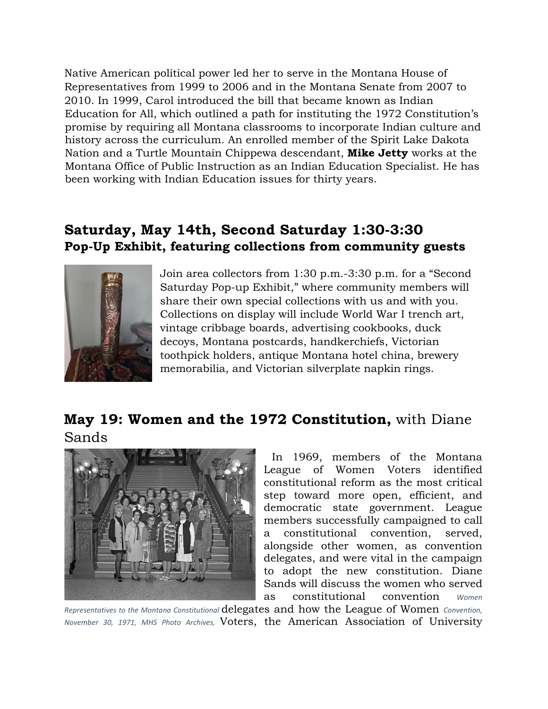Native American political power led her to serve in the Montana House of Representatives from 1999 to 2006 and in the Montana Senate from 2007 to 2010. In 1999, Carol introduced the bill that became known as Indian Education for All, which outlined a path for instituting the 1972 Constitution's promise by requiring all Montana classrooms to incorporate Indian culture and history across the curriculum. An enrolled member of the Spirit Lake Dakota Nation and a Turtle Mountain Chippewa descendant, **Mike Jetty** works at the Montana Office of Public Instruction as an Indian Education Specialist. He has been working with Indian Education issues for thirty years.

# **Saturday, May 14th, Second Saturday 1:30-3:30 Pop-Up Exhibit, featuring collections from community guests**



Join area collectors from 1:30 p.m.-3:30 p.m. for a "Second Saturday Pop-up Exhibit," where community members will share their own special collections with us and with you. Collections on display will include World War I trench art, vintage cribbage boards, advertising cookbooks, duck decoys, Montana postcards, handkerchiefs, Victorian toothpick holders, antique Montana hotel china, brewery memorabilia, and Victorian silverplate napkin rings.

### **May 19: Women and the 1972 Constitution,** with Diane Sands



In 1969, members of the Montana League of Women Voters identified constitutional reform as the most critical step toward more open, efficient, and democratic state government. League members successfully campaigned to call a constitutional convention, served, alongside other women, as convention delegates, and were vital in the campaign to adopt the new constitution. Diane Sands will discuss the women who served as constitutional convention *Women* 

*Representatives to the Montana Constitutional* delegates and how the League of Women *Convention, November 30, 1971, MHS Photo Archives,* Voters, the American Association of University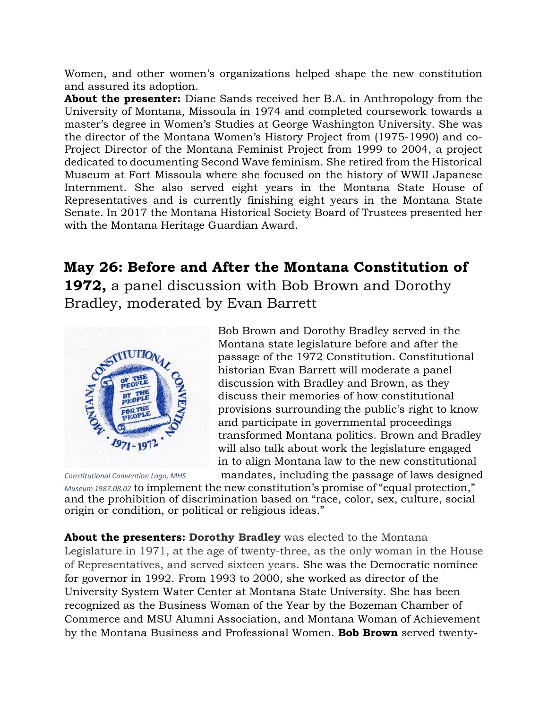Women, and other women's organizations helped shape the new constitution and assured its adoption.

**About the presenter:** Diane Sands received her B.A. in Anthropology from the University of Montana, Missoula in 1974 and completed coursework towards a master's degree in Women's Studies at George Washington University. She was the director of the Montana Women's History Project from (1975-1990) and co-Project Director of the Montana Feminist Project from 1999 to 2004, a project dedicated to documenting Second Wave feminism. She retired from the Historical Museum at Fort Missoula where she focused on the history of WWII Japanese Internment. She also served eight years in the Montana State House of Representatives and is currently finishing eight years in the Montana State Senate. In 2017 the Montana Historical Society Board of Trustees presented her with the Montana Heritage Guardian Award.

# **May 26: Before and After the Montana Constitution of**

**1972,** a panel discussion with Bob Brown and Dorothy Bradley, moderated by Evan Barrett



Bob Brown and Dorothy Bradley served in the Montana state legislature before and after the passage of the 1972 Constitution. Constitutional historian Evan Barrett will moderate a panel discussion with Bradley and Brown, as they discuss their memories of how constitutional provisions surrounding the public's right to know and participate in governmental proceedings transformed Montana politics. Brown and Bradley will also talk about work the legislature engaged in to align Montana law to the new constitutional *Constitutional Convention Logo, MHS* mandates, including the passage of laws designed

*Museum 1987.08.02* to implement the new constitution's promise of "equal protection," and the prohibition of discrimination based on "race, color, sex, culture, social origin or condition, or political or religious ideas."

**About the presenters: Dorothy Bradley** was elected to the Montana Legislature in 1971, at the age of twenty-three, as the only woman in the House of Representatives, and served sixteen years. She was the Democratic nominee for governor in 1992. From 1993 to 2000, she worked as director of the University System Water Center at Montana State University. She has been recognized as the Business Woman of the Year by the Bozeman Chamber of Commerce and MSU Alumni Association, and Montana Woman of Achievement by the Montana Business and Professional Women. **Bob Brown** served twenty-